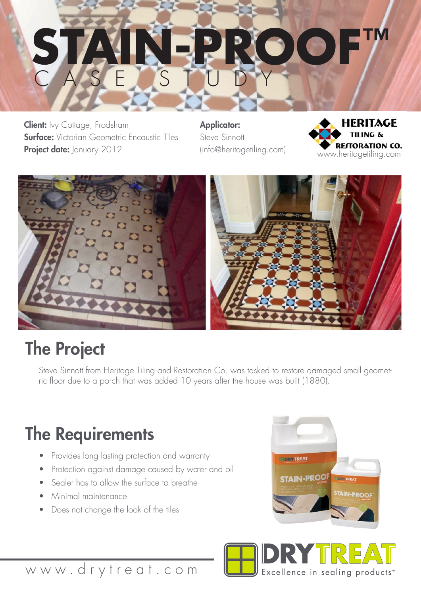## CASE STUDY **STAIN-PROOF™**

**Client:** Ivy Cottage, Frodsham **Surface:** Victorian Geometric Encaustic Tiles Project date: January 2012

Applicator: Steve Sinnott (info@heritagetiling.com)





## The Project

Steve Sinnott from Heritage Tiling and Restoration Co. was tasked to restore damaged small geometric floor due to a porch that was added 10 years after the house was built (1880).

## The Requirements

- Provides long lasting protection and warranty
- Protection against damage caused by water and oil
- Sealer has to allow the surface to breathe
- Minimal maintenance
- Does not change the look of the tiles





www.drytreat.com